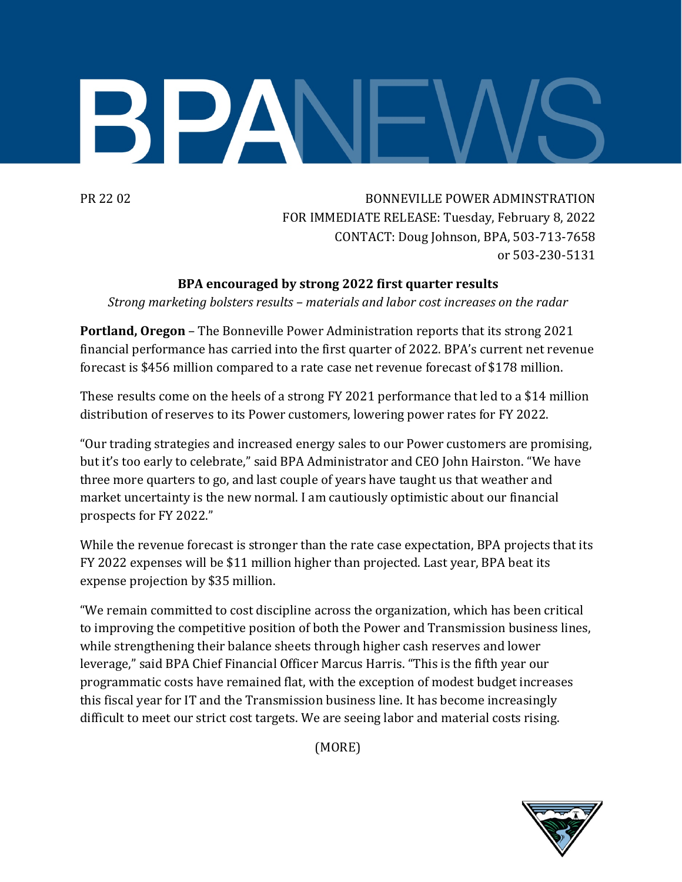## BPA

PR 22 02 BONNEVILLE POWER ADMINSTRATION FOR IMMEDIATE RELEASE: Tuesday, February 8, 2022 CONTACT: Doug Johnson, BPA, 503-713-7658 or 503-230-5131

## **BPA encouraged by strong 2022 first quarter results**

*Strong marketing bolsters results – materials and labor cost increases on the radar*

**Portland, Oregon** – The Bonneville Power Administration reports that its strong 2021 financial performance has carried into the first quarter of 2022. BPA's current net revenue forecast is \$456 million compared to a rate case net revenue forecast of \$178 million.

These results come on the heels of a strong FY 2021 performance that led to a \$14 million distribution of reserves to its Power customers, lowering power rates for FY 2022.

"Our trading strategies and increased energy sales to our Power customers are promising, but it's too early to celebrate," said BPA Administrator and CEO John Hairston. "We have three more quarters to go, and last couple of years have taught us that weather and market uncertainty is the new normal. I am cautiously optimistic about our financial prospects for FY 2022."

While the revenue forecast is stronger than the rate case expectation, BPA projects that its FY 2022 expenses will be \$11 million higher than projected. Last year, BPA beat its expense projection by \$35 million.

"We remain committed to cost discipline across the organization, which has been critical to improving the competitive position of both the Power and Transmission business lines, while strengthening their balance sheets through higher cash reserves and lower leverage," said BPA Chief Financial Officer Marcus Harris. "This is the fifth year our programmatic costs have remained flat, with the exception of modest budget increases this fiscal year for IT and the Transmission business line. It has become increasingly difficult to meet our strict cost targets. We are seeing labor and material costs rising.

(MORE)